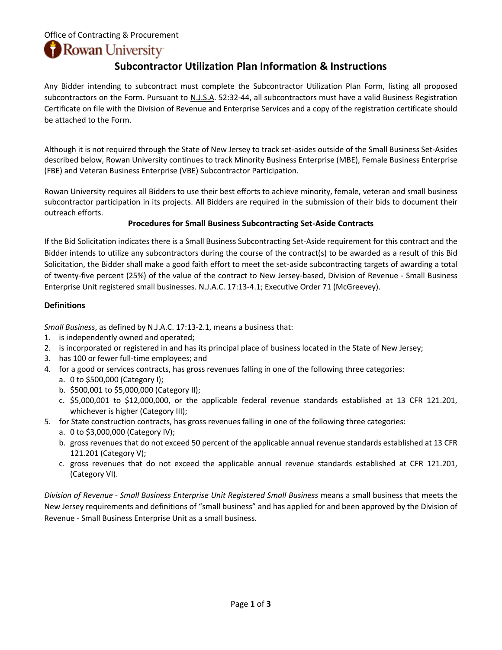### Office of Contracting & Procurement

Rowan University

### **Subcontractor Utilization Plan Information & Instructions**

Any Bidder intending to subcontract must complete the Subcontractor Utilization Plan Form, listing all proposed subcontractors on the Form. Pursuant to N.J.S.A. 52:32-44, all subcontractors must have a valid Business Registration Certificate on file with the Division of Revenue and Enterprise Services and a copy of the registration certificate should be attached to the Form.

Although it is not required through the State of New Jersey to track set-asides outside of the Small Business Set-Asides described below, Rowan University continues to track Minority Business Enterprise (MBE), Female Business Enterprise (FBE) and Veteran Business Enterprise (VBE) Subcontractor Participation.

Rowan University requires all Bidders to use their best efforts to achieve minority, female, veteran and small business subcontractor participation in its projects. All Bidders are required in the submission of their bids to document their outreach efforts.

#### **Procedures for Small Business Subcontracting Set-Aside Contracts**

If the Bid Solicitation indicates there is a Small Business Subcontracting Set-Aside requirement for this contract and the Bidder intends to utilize any subcontractors during the course of the contract(s) to be awarded as a result of this Bid Solicitation, the Bidder shall make a good faith effort to meet the set-aside subcontracting targets of awarding a total of twenty-five percent (25%) of the value of the contract to New Jersey-based, Division of Revenue - Small Business Enterprise Unit registered small businesses. N.J.A.C. 17:13-4.1; Executive Order 71 (McGreevey).

#### **Definitions**

*Small Business*, as defined by N.J.A.C. 17:13-2.1, means a business that:

- 1. is independently owned and operated;
- 2. is incorporated or registered in and has its principal place of business located in the State of New Jersey;
- 3. has 100 or fewer full-time employees; and
- 4. for a good or services contracts, has gross revenues falling in one of the following three categories:
	- a. 0 to \$500,000 (Category I);
	- b. \$500,001 to \$5,000,000 (Category II);
	- c. \$5,000,001 to \$12,000,000, or the applicable federal revenue standards established at 13 CFR 121.201, whichever is higher (Category III);
- 5. for State construction contracts, has gross revenues falling in one of the following three categories:
	- a. 0 to \$3,000,000 (Category IV);
	- b. gross revenues that do not exceed 50 percent of the applicable annual revenue standards established at 13 CFR 121.201 (Category V);
	- c. gross revenues that do not exceed the applicable annual revenue standards established at CFR 121.201, (Category VI).

*Division of Revenue - Small Business Enterprise Unit Registered Small Business* means a small business that meets the New Jersey requirements and definitions of "small business" and has applied for and been approved by the Division of Revenue - Small Business Enterprise Unit as a small business.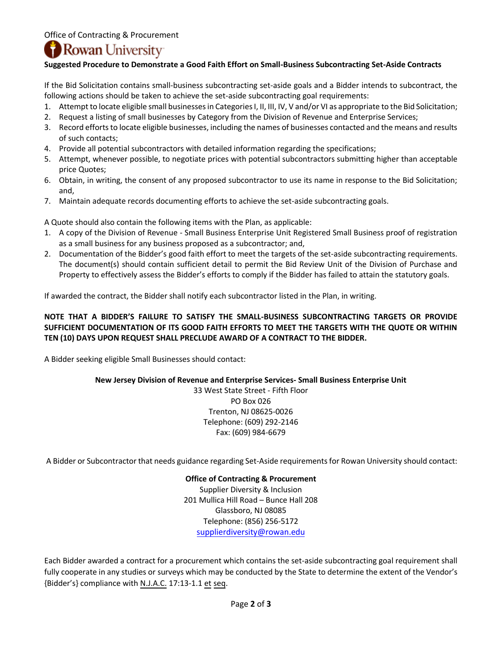## **Rowan University**

#### **Suggested Procedure to Demonstrate a Good Faith Effort on Small-Business Subcontracting Set-Aside Contracts**

If the Bid Solicitation contains small-business subcontracting set-aside goals and a Bidder intends to subcontract, the following actions should be taken to achieve the set-aside subcontracting goal requirements:

- 1. Attempt to locate eligible small businesses in Categories I, II, III, IV, V and/or VI as appropriate to the Bid Solicitation;
- 2. Request a listing of small businesses by Category from the Division of Revenue and Enterprise Services;
- 3. Record efforts to locate eligible businesses, including the names of businesses contacted and the means and results of such contacts;
- 4. Provide all potential subcontractors with detailed information regarding the specifications;
- 5. Attempt, whenever possible, to negotiate prices with potential subcontractors submitting higher than acceptable price Quotes;
- 6. Obtain, in writing, the consent of any proposed subcontractor to use its name in response to the Bid Solicitation; and,
- 7. Maintain adequate records documenting efforts to achieve the set-aside subcontracting goals.

A Quote should also contain the following items with the Plan, as applicable:

- 1. A copy of the Division of Revenue Small Business Enterprise Unit Registered Small Business proof of registration as a small business for any business proposed as a subcontractor; and,
- 2. Documentation of the Bidder's good faith effort to meet the targets of the set-aside subcontracting requirements. The document(s) should contain sufficient detail to permit the Bid Review Unit of the Division of Purchase and Property to effectively assess the Bidder's efforts to comply if the Bidder has failed to attain the statutory goals.

If awarded the contract, the Bidder shall notify each subcontractor listed in the Plan, in writing.

#### **NOTE THAT A BIDDER'S FAILURE TO SATISFY THE SMALL-BUSINESS SUBCONTRACTING TARGETS OR PROVIDE SUFFICIENT DOCUMENTATION OF ITS GOOD FAITH EFFORTS TO MEET THE TARGETS WITH THE QUOTE OR WITHIN TEN (10) DAYS UPON REQUEST SHALL PRECLUDE AWARD OF A CONTRACT TO THE BIDDER.**

A Bidder seeking eligible Small Businesses should contact:

#### **New Jersey Division of Revenue and Enterprise Services- Small Business Enterprise Unit**

33 West State Street - Fifth Floor PO Box 026 Trenton, NJ 08625-0026 Telephone: (609) 292-2146 Fax: (609) 984-6679

A Bidder or Subcontractor that needs guidance regarding Set-Aside requirements for Rowan University should contact:

**Office of Contracting & Procurement**  Supplier Diversity & Inclusion 201 Mullica Hill Road – Bunce Hall 208 Glassboro, NJ 08085 Telephone: (856) 256-5172 [supplierdiversity@rowan.edu](mailto:supplierdiversity@rowan.edu)

Each Bidder awarded a contract for a procurement which contains the set-aside subcontracting goal requirement shall fully cooperate in any studies or surveys which may be conducted by the State to determine the extent of the Vendor's {Bidder's} compliance with N.J.A.C. 17:13-1.1 et seq.